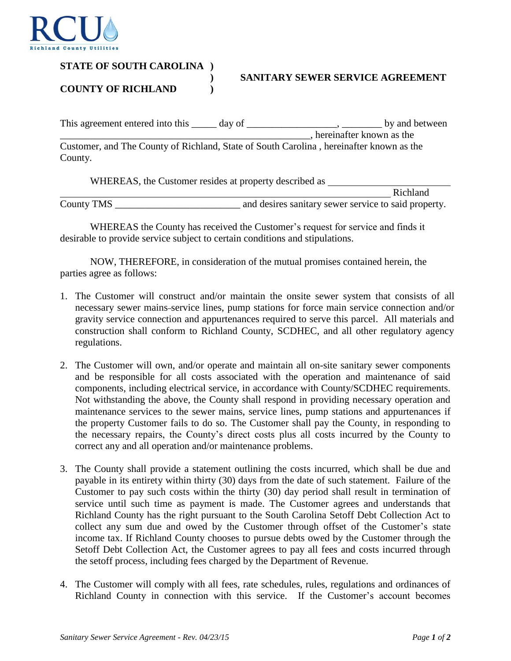

## **STATE OF SOUTH CAROLINA )**

## **) SANITARY SEWER SERVICE AGREEMENT**

**COUNTY OF RICHLAND )**

| This agreement entered into this                                                        | day of |                            | by and between |
|-----------------------------------------------------------------------------------------|--------|----------------------------|----------------|
|                                                                                         |        | , hereinafter known as the |                |
| Customer, and The County of Richland, State of South Carolina, hereinafter known as the |        |                            |                |
| County.                                                                                 |        |                            |                |

WHEREAS, the Customer resides at property described as

Richland County TMS and desires sanitary sewer service to said property.

WHEREAS the County has received the Customer's request for service and finds it desirable to provide service subject to certain conditions and stipulations.

NOW, THEREFORE, in consideration of the mutual promises contained herein, the parties agree as follows:

- 1. The Customer will construct and/or maintain the onsite sewer system that consists of all necessary sewer mains service lines, pump stations for force main service connection and/or gravity service connection and appurtenances required to serve this parcel. All materials and construction shall conform to Richland County, SCDHEC, and all other regulatory agency regulations.
- 2. The Customer will own, and/or operate and maintain all on-site sanitary sewer components and be responsible for all costs associated with the operation and maintenance of said components, including electrical service, in accordance with County/SCDHEC requirements. Not withstanding the above, the County shall respond in providing necessary operation and maintenance services to the sewer mains, service lines, pump stations and appurtenances if the property Customer fails to do so. The Customer shall pay the County, in responding to the necessary repairs, the County's direct costs plus all costs incurred by the County to correct any and all operation and/or maintenance problems.
- 3. The County shall provide a statement outlining the costs incurred, which shall be due and payable in its entirety within thirty (30) days from the date of such statement. Failure of the Customer to pay such costs within the thirty (30) day period shall result in termination of service until such time as payment is made. The Customer agrees and understands that Richland County has the right pursuant to the South Carolina Setoff Debt Collection Act to collect any sum due and owed by the Customer through offset of the Customer's state income tax. If Richland County chooses to pursue debts owed by the Customer through the Setoff Debt Collection Act, the Customer agrees to pay all fees and costs incurred through the setoff process, including fees charged by the Department of Revenue.
- 4. The Customer will comply with all fees, rate schedules, rules, regulations and ordinances of Richland County in connection with this service. If the Customer's account becomes